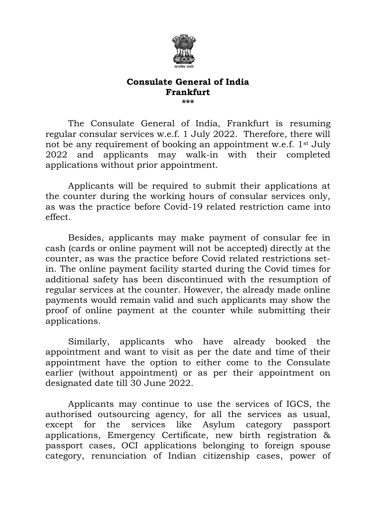

## **Consulate General of India Frankfurt \*\*\***

The Consulate General of India, Frankfurt is resuming regular consular services w.e.f. 1 July 2022. Therefore, there will not be any requirement of booking an appointment w.e.f. 1st July 2022 and applicants may walk-in with their completed applications without prior appointment.

Applicants will be required to submit their applications at the counter during the working hours of consular services only, as was the practice before Covid-19 related restriction came into effect.

Besides, applicants may make payment of consular fee in cash (cards or online payment will not be accepted) directly at the counter, as was the practice before Covid related restrictions setin. The online payment facility started during the Covid times for additional safety has been discontinued with the resumption of regular services at the counter. However, the already made online payments would remain valid and such applicants may show the proof of online payment at the counter while submitting their applications.

Similarly, applicants who have already booked the appointment and want to visit as per the date and time of their appointment have the option to either come to the Consulate earlier (without appointment) or as per their appointment on designated date till 30 June 2022.

Applicants may continue to use the services of IGCS, the authorised outsourcing agency, for all the services as usual, except for the services like Asylum category passport applications, Emergency Certificate, new birth registration & passport cases, OCI applications belonging to foreign spouse category, renunciation of Indian citizenship cases, power of